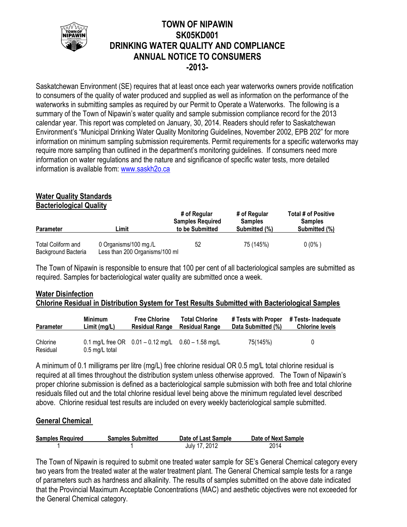

## **TOWN OF NIPAWIN SK05KD001 DRINKING WATER QUALITY AND COMPLIANCE ANNUAL NOTICE TO CONSUMERS -2013-**

Saskatchewan Environment (SE) requires that at least once each year waterworks owners provide notification to consumers of the quality of water produced and supplied as well as information on the performance of the waterworks in submitting samples as required by our Permit to Operate a Waterworks. The following is a summary of the Town of Nipawin's water quality and sample submission compliance record for the 2013 calendar year. This report was completed on January, 30, 2014. Readers should refer to Saskatchewan Environment's "Municipal Drinking Water Quality Monitoring Guidelines, November 2002, EPB 202" for more information on minimum sampling submission requirements. Permit requirements for a specific waterworks may require more sampling than outlined in the department's monitoring guidelines. If consumers need more information on water regulations and the nature and significance of specific water tests, more detailed information is available from: [www.saskh2o.ca](http://www.saskh2o.ca/)

# **Water Quality Standards**

**Bacteriological Quality**

| <b>Parameter</b>                          | Limit                                                   | # of Regular<br><b>Samples Required</b><br>to be Submitted | # of Regular<br><b>Samples</b><br>Submitted (%) | Total # of Positive<br><b>Samples</b><br>Submitted (%) |
|-------------------------------------------|---------------------------------------------------------|------------------------------------------------------------|-------------------------------------------------|--------------------------------------------------------|
| Total Coliform and<br>Background Bacteria | 0 Organisms/100 mg./L<br>Less than 200 Organisms/100 ml | 52                                                         | 75 (145%)                                       | $0(0\%)$                                               |

The Town of Nipawin is responsible to ensure that 100 per cent of all bacteriological samples are submitted as required. Samples for bacteriological water quality are submitted once a week.

## **Water Disinfection Chlorine Residual in Distribution System for Test Results Submitted with Bacteriological Samples**

| <b>Parameter</b>     | <b>Minimum</b>           | <b>Free Chlorine</b>                                   | <b>Total Chlorine</b> | # Tests with Proper | # Tests- Inadequate    |
|----------------------|--------------------------|--------------------------------------------------------|-----------------------|---------------------|------------------------|
|                      | Limit(mg/L)              | <b>Residual Range</b>                                  | <b>Residual Range</b> | Data Submitted (%)  | <b>Chlorine levels</b> |
| Chlorine<br>Residual | $0.5 \text{ mg/L}$ total | 0.1 mg/L free OR $0.01 - 0.12$ mg/L $0.60 - 1.58$ mg/L |                       | 75(145%)            | 0                      |

A minimum of 0.1 milligrams per litre (mg/L) free chlorine residual OR 0.5 mg/L total chlorine residual is required at all times throughout the distribution system unless otherwise approved. The Town of Nipawin's proper chlorine submission is defined as a bacteriological sample submission with both free and total chlorine residuals filled out and the total chlorine residual level being above the minimum regulated level described above. Chlorine residual test results are included on every weekly bacteriological sample submitted.

## **General Chemical**

| <b>Samples Required</b> | <b>Samples Submitted</b> | Date of Last Sample | Date of Next Sample |
|-------------------------|--------------------------|---------------------|---------------------|
|                         |                          | July 17, 2012       | 2014                |

The Town of Nipawin is required to submit one treated water sample for SE's General Chemical category every two years from the treated water at the water treatment plant. The General Chemical sample tests for a range of parameters such as hardness and alkalinity. The results of samples submitted on the above date indicated that the Provincial Maximum Acceptable Concentrations (MAC) and aesthetic objectives were not exceeded for the General Chemical category.